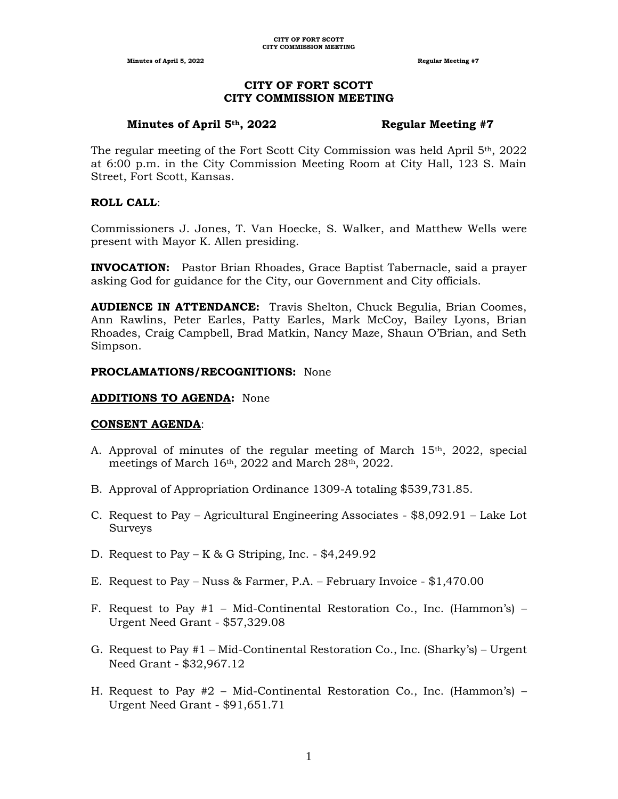# **CITY OF FORT SCOTT CITY COMMISSION MEETING**

# **Minutes of April 5th, 2022 Regular Meeting #7**

The regular meeting of the Fort Scott City Commission was held April 5th, 2022 at 6:00 p.m. in the City Commission Meeting Room at City Hall, 123 S. Main Street, Fort Scott, Kansas.

# **ROLL CALL**:

Commissioners J. Jones, T. Van Hoecke, S. Walker, and Matthew Wells were present with Mayor K. Allen presiding.

**INVOCATION:** Pastor Brian Rhoades, Grace Baptist Tabernacle, said a prayer asking God for guidance for the City, our Government and City officials.

**AUDIENCE IN ATTENDANCE:** Travis Shelton, Chuck Begulia, Brian Coomes, Ann Rawlins, Peter Earles, Patty Earles, Mark McCoy, Bailey Lyons, Brian Rhoades, Craig Campbell, Brad Matkin, Nancy Maze, Shaun O'Brian, and Seth Simpson.

# **PROCLAMATIONS/RECOGNITIONS:** None

#### **ADDITIONS TO AGENDA:** None

# **CONSENT AGENDA**:

- A. Approval of minutes of the regular meeting of March  $15<sup>th</sup>$ , 2022, special meetings of March  $16<sup>th</sup>$ , 2022 and March  $28<sup>th</sup>$ , 2022.
- B. Approval of Appropriation Ordinance 1309-A totaling \$539,731.85.
- C. Request to Pay Agricultural Engineering Associates \$8,092.91 Lake Lot Surveys
- D. Request to Pay K & G Striping, Inc.  $$4,249.92$
- E. Request to Pay Nuss & Farmer, P.A. February Invoice \$1,470.00
- F. Request to Pay  $#1$  Mid-Continental Restoration Co., Inc. (Hammon's) Urgent Need Grant - \$57,329.08
- G. Request to Pay #1 Mid-Continental Restoration Co., Inc. (Sharky's) Urgent Need Grant - \$32,967.12
- H. Request to Pay #2 Mid-Continental Restoration Co., Inc. (Hammon's) Urgent Need Grant - \$91,651.71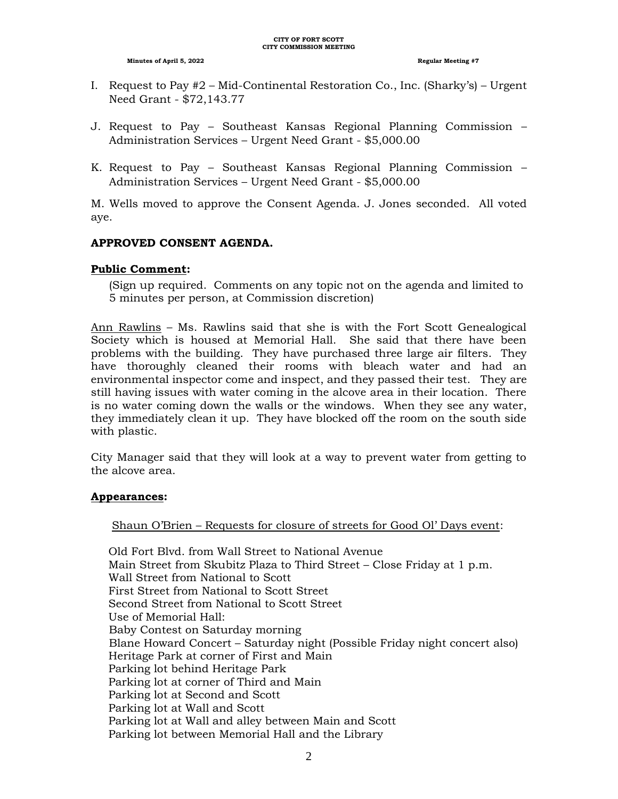- I. Request to Pay #2 Mid-Continental Restoration Co., Inc. (Sharky's) Urgent Need Grant - \$72,143.77
- J. Request to Pay Southeast Kansas Regional Planning Commission Administration Services – Urgent Need Grant - \$5,000.00
- K. Request to Pay Southeast Kansas Regional Planning Commission Administration Services – Urgent Need Grant - \$5,000.00

M. Wells moved to approve the Consent Agenda. J. Jones seconded. All voted aye.

# **APPROVED CONSENT AGENDA.**

# **Public Comment:**

(Sign up required. Comments on any topic not on the agenda and limited to 5 minutes per person, at Commission discretion)

Ann Rawlins – Ms. Rawlins said that she is with the Fort Scott Genealogical Society which is housed at Memorial Hall. She said that there have been problems with the building. They have purchased three large air filters. They have thoroughly cleaned their rooms with bleach water and had an environmental inspector come and inspect, and they passed their test. They are still having issues with water coming in the alcove area in their location. There is no water coming down the walls or the windows. When they see any water, they immediately clean it up. They have blocked off the room on the south side with plastic.

City Manager said that they will look at a way to prevent water from getting to the alcove area.

# **Appearances:**

# Shaun O'Brien – Requests for closure of streets for Good Ol' Days event:

 Old Fort Blvd. from Wall Street to National Avenue Main Street from Skubitz Plaza to Third Street – Close Friday at 1 p.m. Wall Street from National to Scott First Street from National to Scott Street Second Street from National to Scott Street Use of Memorial Hall: Baby Contest on Saturday morning Blane Howard Concert – Saturday night (Possible Friday night concert also) Heritage Park at corner of First and Main Parking lot behind Heritage Park Parking lot at corner of Third and Main Parking lot at Second and Scott Parking lot at Wall and Scott Parking lot at Wall and alley between Main and Scott Parking lot between Memorial Hall and the Library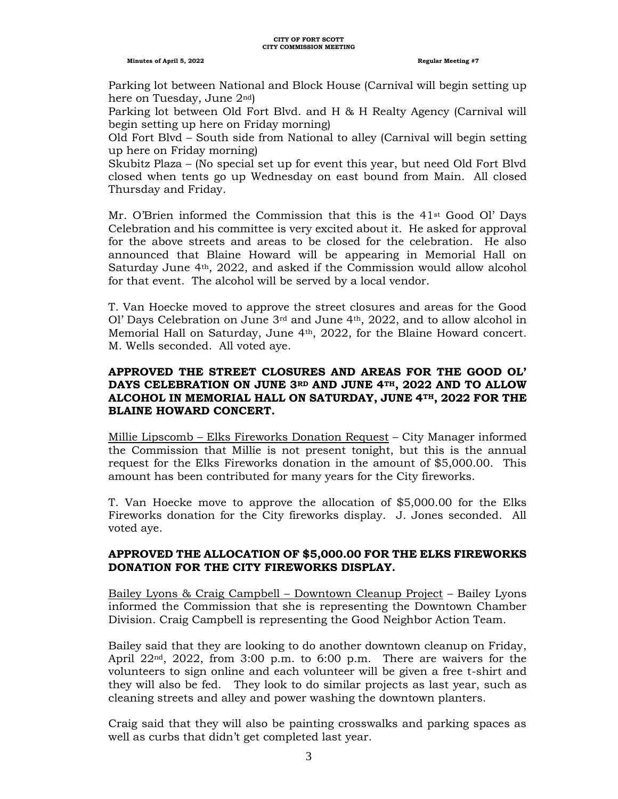#### **CITY OF FORT SCOTT CITY COMMISSION MEETING**

#### **Minutes of April 5, 2022 Regular Meeting #7**

 Parking lot between National and Block House (Carnival will begin setting up here on Tuesday, June 2nd)

Parking lot between Old Fort Blvd. and H & H Realty Agency (Carnival will begin setting up here on Friday morning)

Old Fort Blvd – South side from National to alley (Carnival will begin setting up here on Friday morning)

Skubitz Plaza – (No special set up for event this year, but need Old Fort Blvd closed when tents go up Wednesday on east bound from Main. All closed Thursday and Friday.

Mr. O'Brien informed the Commission that this is the  $41<sup>st</sup>$  Good Ol' Days Celebration and his committee is very excited about it. He asked for approval for the above streets and areas to be closed for the celebration. He also announced that Blaine Howard will be appearing in Memorial Hall on Saturday June 4th, 2022, and asked if the Commission would allow alcohol for that event. The alcohol will be served by a local vendor.

T. Van Hoecke moved to approve the street closures and areas for the Good Ol' Days Celebration on June  $3<sup>rd</sup>$  and June  $4<sup>th</sup>$ , 2022, and to allow alcohol in Memorial Hall on Saturday, June 4th, 2022, for the Blaine Howard concert. M. Wells seconded. All voted aye.

# **APPROVED THE STREET CLOSURES AND AREAS FOR THE GOOD OL' DAYS CELEBRATION ON JUNE 3RD AND JUNE 4TH, 2022 AND TO ALLOW ALCOHOL IN MEMORIAL HALL ON SATURDAY, JUNE 4TH, 2022 FOR THE BLAINE HOWARD CONCERT.**

Millie Lipscomb – Elks Fireworks Donation Request – City Manager informed the Commission that Millie is not present tonight, but this is the annual request for the Elks Fireworks donation in the amount of \$5,000.00. This amount has been contributed for many years for the City fireworks.

T. Van Hoecke move to approve the allocation of \$5,000.00 for the Elks Fireworks donation for the City fireworks display. J. Jones seconded. All voted aye.

# **APPROVED THE ALLOCATION OF \$5,000.00 FOR THE ELKS FIREWORKS DONATION FOR THE CITY FIREWORKS DISPLAY.**

Bailey Lyons & Craig Campbell – Downtown Cleanup Project – Bailey Lyons informed the Commission that she is representing the Downtown Chamber Division. Craig Campbell is representing the Good Neighbor Action Team.

Bailey said that they are looking to do another downtown cleanup on Friday, April  $22<sup>nd</sup>$ ,  $2022$ , from  $3:00$  p.m. to  $6:00$  p.m. There are waivers for the volunteers to sign online and each volunteer will be given a free t-shirt and they will also be fed. They look to do similar projects as last year, such as cleaning streets and alley and power washing the downtown planters.

Craig said that they will also be painting crosswalks and parking spaces as well as curbs that didn't get completed last year.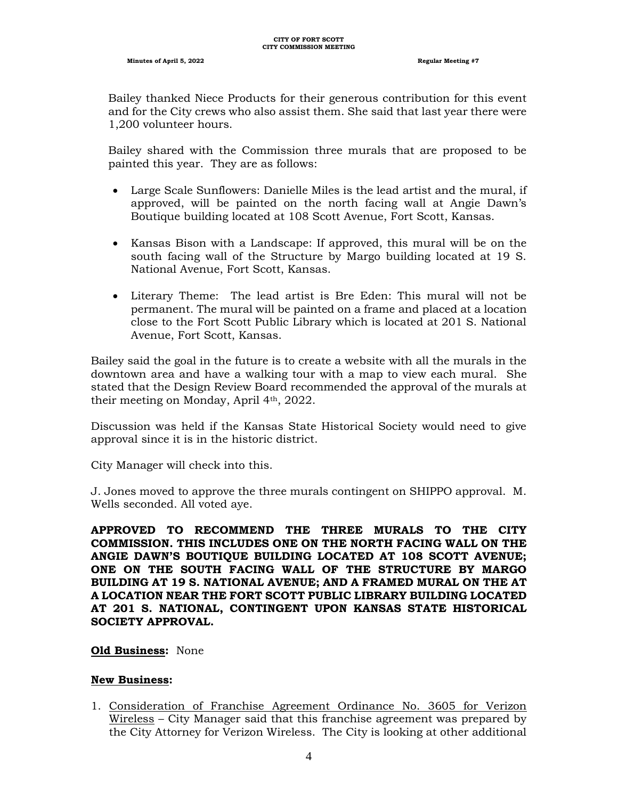Bailey thanked Niece Products for their generous contribution for this event and for the City crews who also assist them. She said that last year there were 1,200 volunteer hours.

Bailey shared with the Commission three murals that are proposed to be painted this year. They are as follows:

- Large Scale Sunflowers: Danielle Miles is the lead artist and the mural, if approved, will be painted on the north facing wall at Angie Dawn's Boutique building located at 108 Scott Avenue, Fort Scott, Kansas.
- Kansas Bison with a Landscape: If approved, this mural will be on the south facing wall of the Structure by Margo building located at 19 S. National Avenue, Fort Scott, Kansas.
- Literary Theme: The lead artist is Bre Eden: This mural will not be permanent. The mural will be painted on a frame and placed at a location close to the Fort Scott Public Library which is located at 201 S. National Avenue, Fort Scott, Kansas.

Bailey said the goal in the future is to create a website with all the murals in the downtown area and have a walking tour with a map to view each mural. She stated that the Design Review Board recommended the approval of the murals at their meeting on Monday, April 4th, 2022.

Discussion was held if the Kansas State Historical Society would need to give approval since it is in the historic district.

City Manager will check into this.

J. Jones moved to approve the three murals contingent on SHIPPO approval. M. Wells seconded. All voted aye.

**APPROVED TO RECOMMEND THE THREE MURALS TO THE CITY COMMISSION. THIS INCLUDES ONE ON THE NORTH FACING WALL ON THE ANGIE DAWN'S BOUTIQUE BUILDING LOCATED AT 108 SCOTT AVENUE; ONE ON THE SOUTH FACING WALL OF THE STRUCTURE BY MARGO BUILDING AT 19 S. NATIONAL AVENUE; AND A FRAMED MURAL ON THE AT A LOCATION NEAR THE FORT SCOTT PUBLIC LIBRARY BUILDING LOCATED AT 201 S. NATIONAL, CONTINGENT UPON KANSAS STATE HISTORICAL SOCIETY APPROVAL.**

# **Old Business:** None

# **New Business:**

1. Consideration of Franchise Agreement Ordinance No. 3605 for Verizon Wireless – City Manager said that this franchise agreement was prepared by the City Attorney for Verizon Wireless. The City is looking at other additional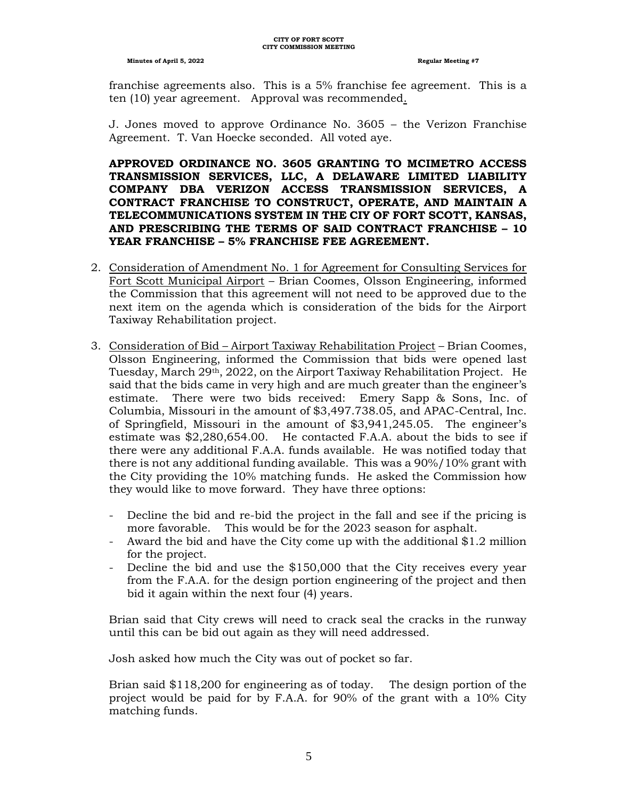franchise agreements also. This is a 5% franchise fee agreement. This is a ten (10) year agreement. Approval was recommended.

J. Jones moved to approve Ordinance No. 3605 – the Verizon Franchise Agreement. T. Van Hoecke seconded. All voted aye.

**APPROVED ORDINANCE NO. 3605 GRANTING TO MCIMETRO ACCESS TRANSMISSION SERVICES, LLC, A DELAWARE LIMITED LIABILITY COMPANY DBA VERIZON ACCESS TRANSMISSION SERVICES, A CONTRACT FRANCHISE TO CONSTRUCT, OPERATE, AND MAINTAIN A TELECOMMUNICATIONS SYSTEM IN THE CIY OF FORT SCOTT, KANSAS, AND PRESCRIBING THE TERMS OF SAID CONTRACT FRANCHISE – 10 YEAR FRANCHISE – 5% FRANCHISE FEE AGREEMENT.**

- 2. Consideration of Amendment No. 1 for Agreement for Consulting Services for Fort Scott Municipal Airport – Brian Coomes, Olsson Engineering, informed the Commission that this agreement will not need to be approved due to the next item on the agenda which is consideration of the bids for the Airport Taxiway Rehabilitation project.
- 3. Consideration of Bid Airport Taxiway Rehabilitation Project Brian Coomes, Olsson Engineering, informed the Commission that bids were opened last Tuesday, March 29th, 2022, on the Airport Taxiway Rehabilitation Project. He said that the bids came in very high and are much greater than the engineer's estimate. There were two bids received: Emery Sapp & Sons, Inc. of Columbia, Missouri in the amount of \$3,497.738.05, and APAC-Central, Inc. of Springfield, Missouri in the amount of \$3,941,245.05. The engineer's estimate was \$2,280,654.00. He contacted F.A.A. about the bids to see if there were any additional F.A.A. funds available. He was notified today that there is not any additional funding available. This was a 90%/10% grant with the City providing the 10% matching funds. He asked the Commission how they would like to move forward. They have three options:
	- Decline the bid and re-bid the project in the fall and see if the pricing is more favorable. This would be for the 2023 season for asphalt.
	- Award the bid and have the City come up with the additional \$1.2 million for the project.
	- Decline the bid and use the \$150,000 that the City receives every year from the F.A.A. for the design portion engineering of the project and then bid it again within the next four (4) years.

Brian said that City crews will need to crack seal the cracks in the runway until this can be bid out again as they will need addressed.

Josh asked how much the City was out of pocket so far.

Brian said \$118,200 for engineering as of today. The design portion of the project would be paid for by F.A.A. for 90% of the grant with a 10% City matching funds.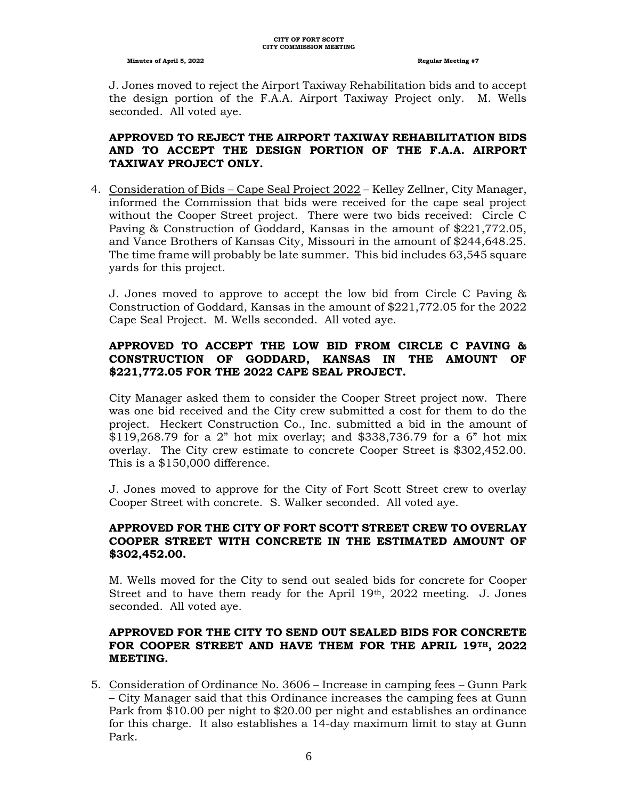J. Jones moved to reject the Airport Taxiway Rehabilitation bids and to accept the design portion of the F.A.A. Airport Taxiway Project only. M. Wells seconded. All voted aye.

# **APPROVED TO REJECT THE AIRPORT TAXIWAY REHABILITATION BIDS AND TO ACCEPT THE DESIGN PORTION OF THE F.A.A. AIRPORT TAXIWAY PROJECT ONLY.**

4. Consideration of Bids – Cape Seal Project 2022 – Kelley Zellner, City Manager, informed the Commission that bids were received for the cape seal project without the Cooper Street project. There were two bids received: Circle C Paving & Construction of Goddard, Kansas in the amount of \$221,772.05, and Vance Brothers of Kansas City, Missouri in the amount of \$244,648.25. The time frame will probably be late summer. This bid includes 63,545 square yards for this project.

J. Jones moved to approve to accept the low bid from Circle C Paving & Construction of Goddard, Kansas in the amount of \$221,772.05 for the 2022 Cape Seal Project. M. Wells seconded. All voted aye.

# **APPROVED TO ACCEPT THE LOW BID FROM CIRCLE C PAVING & CONSTRUCTION OF GODDARD, KANSAS IN THE AMOUNT OF \$221,772.05 FOR THE 2022 CAPE SEAL PROJECT.**

City Manager asked them to consider the Cooper Street project now. There was one bid received and the City crew submitted a cost for them to do the project. Heckert Construction Co., Inc. submitted a bid in the amount of \$119,268.79 for a 2" hot mix overlay; and \$338,736.79 for a 6" hot mix overlay. The City crew estimate to concrete Cooper Street is \$302,452.00. This is a \$150,000 difference.

J. Jones moved to approve for the City of Fort Scott Street crew to overlay Cooper Street with concrete. S. Walker seconded. All voted aye.

# **APPROVED FOR THE CITY OF FORT SCOTT STREET CREW TO OVERLAY COOPER STREET WITH CONCRETE IN THE ESTIMATED AMOUNT OF \$302,452.00.**

M. Wells moved for the City to send out sealed bids for concrete for Cooper Street and to have them ready for the April  $19<sup>th</sup>$ ,  $2022$  meeting. J. Jones seconded. All voted aye.

# **APPROVED FOR THE CITY TO SEND OUT SEALED BIDS FOR CONCRETE FOR COOPER STREET AND HAVE THEM FOR THE APRIL 19TH, 2022 MEETING.**

5. Consideration of Ordinance No. 3606 – Increase in camping fees – Gunn Park – City Manager said that this Ordinance increases the camping fees at Gunn Park from \$10.00 per night to \$20.00 per night and establishes an ordinance for this charge. It also establishes a 14-day maximum limit to stay at Gunn Park.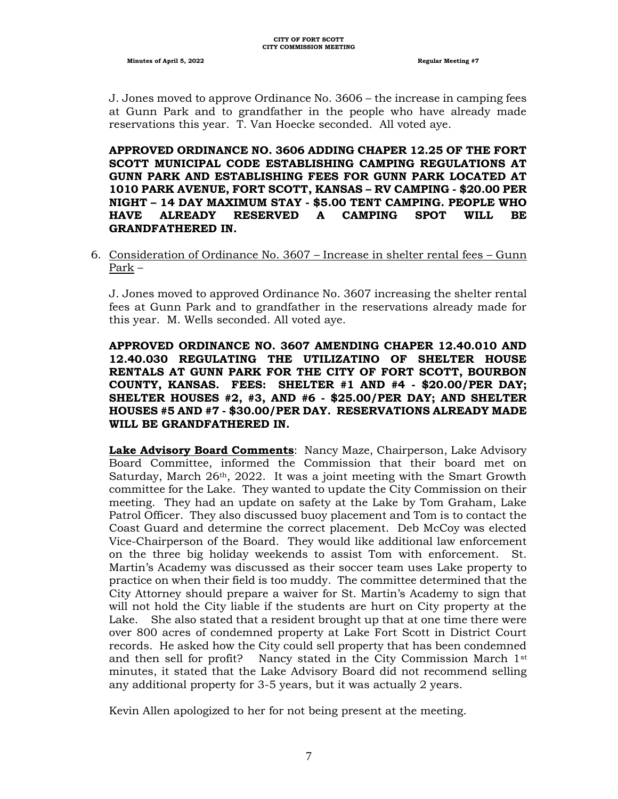J. Jones moved to approve Ordinance No. 3606 – the increase in camping fees at Gunn Park and to grandfather in the people who have already made reservations this year. T. Van Hoecke seconded. All voted aye.

**APPROVED ORDINANCE NO. 3606 ADDING CHAPER 12.25 OF THE FORT SCOTT MUNICIPAL CODE ESTABLISHING CAMPING REGULATIONS AT GUNN PARK AND ESTABLISHING FEES FOR GUNN PARK LOCATED AT 1010 PARK AVENUE, FORT SCOTT, KANSAS – RV CAMPING - \$20.00 PER NIGHT – 14 DAY MAXIMUM STAY - \$5.00 TENT CAMPING. PEOPLE WHO HAVE ALREADY RESERVED A CAMPING SPOT WILL BE GRANDFATHERED IN.**

6. Consideration of Ordinance No. 3607 – Increase in shelter rental fees – Gunn Park –

J. Jones moved to approved Ordinance No. 3607 increasing the shelter rental fees at Gunn Park and to grandfather in the reservations already made for this year. M. Wells seconded. All voted aye.

**APPROVED ORDINANCE NO. 3607 AMENDING CHAPER 12.40.010 AND 12.40.030 REGULATING THE UTILIZATINO OF SHELTER HOUSE RENTALS AT GUNN PARK FOR THE CITY OF FORT SCOTT, BOURBON COUNTY, KANSAS. FEES: SHELTER #1 AND #4 - \$20.00/PER DAY; SHELTER HOUSES #2, #3, AND #6 - \$25.00/PER DAY; AND SHELTER HOUSES #5 AND #7 - \$30.00/PER DAY. RESERVATIONS ALREADY MADE WILL BE GRANDFATHERED IN.**

**Lake Advisory Board Comments**: Nancy Maze, Chairperson, Lake Advisory Board Committee, informed the Commission that their board met on Saturday, March  $26<sup>th</sup>$ , 2022. It was a joint meeting with the Smart Growth committee for the Lake. They wanted to update the City Commission on their meeting. They had an update on safety at the Lake by Tom Graham, Lake Patrol Officer. They also discussed buoy placement and Tom is to contact the Coast Guard and determine the correct placement. Deb McCoy was elected Vice-Chairperson of the Board. They would like additional law enforcement on the three big holiday weekends to assist Tom with enforcement. St. Martin's Academy was discussed as their soccer team uses Lake property to practice on when their field is too muddy. The committee determined that the City Attorney should prepare a waiver for St. Martin's Academy to sign that will not hold the City liable if the students are hurt on City property at the Lake. She also stated that a resident brought up that at one time there were over 800 acres of condemned property at Lake Fort Scott in District Court records. He asked how the City could sell property that has been condemned and then sell for profit? Nancy stated in the City Commission March  $1<sup>st</sup>$ minutes, it stated that the Lake Advisory Board did not recommend selling any additional property for 3-5 years, but it was actually 2 years.

Kevin Allen apologized to her for not being present at the meeting.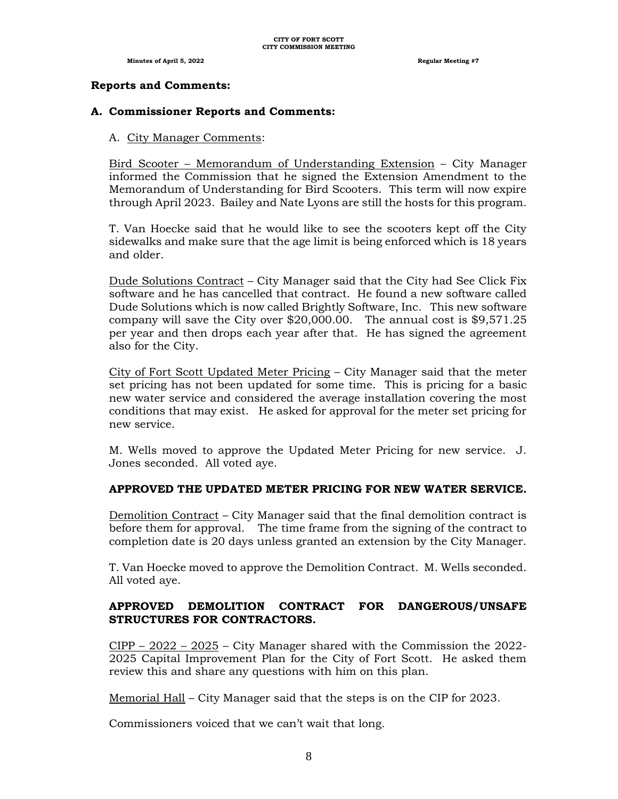# **Reports and Comments:**

# **A. Commissioner Reports and Comments:**

# A. City Manager Comments:

Bird Scooter – Memorandum of Understanding Extension – City Manager informed the Commission that he signed the Extension Amendment to the Memorandum of Understanding for Bird Scooters. This term will now expire through April 2023. Bailey and Nate Lyons are still the hosts for this program.

T. Van Hoecke said that he would like to see the scooters kept off the City sidewalks and make sure that the age limit is being enforced which is 18 years and older.

Dude Solutions Contract – City Manager said that the City had See Click Fix software and he has cancelled that contract. He found a new software called Dude Solutions which is now called Brightly Software, Inc. This new software company will save the City over \$20,000.00. The annual cost is \$9,571.25 per year and then drops each year after that. He has signed the agreement also for the City.

City of Fort Scott Updated Meter Pricing – City Manager said that the meter set pricing has not been updated for some time. This is pricing for a basic new water service and considered the average installation covering the most conditions that may exist. He asked for approval for the meter set pricing for new service.

M. Wells moved to approve the Updated Meter Pricing for new service. J. Jones seconded. All voted aye.

# **APPROVED THE UPDATED METER PRICING FOR NEW WATER SERVICE.**

Demolition Contract – City Manager said that the final demolition contract is before them for approval. The time frame from the signing of the contract to completion date is 20 days unless granted an extension by the City Manager.

T. Van Hoecke moved to approve the Demolition Contract. M. Wells seconded. All voted aye.

# **APPROVED DEMOLITION CONTRACT FOR DANGEROUS/UNSAFE STRUCTURES FOR CONTRACTORS.**

CIPP – 2022 – 2025 – City Manager shared with the Commission the 2022- 2025 Capital Improvement Plan for the City of Fort Scott. He asked them review this and share any questions with him on this plan.

Memorial Hall – City Manager said that the steps is on the CIP for 2023.

Commissioners voiced that we can't wait that long.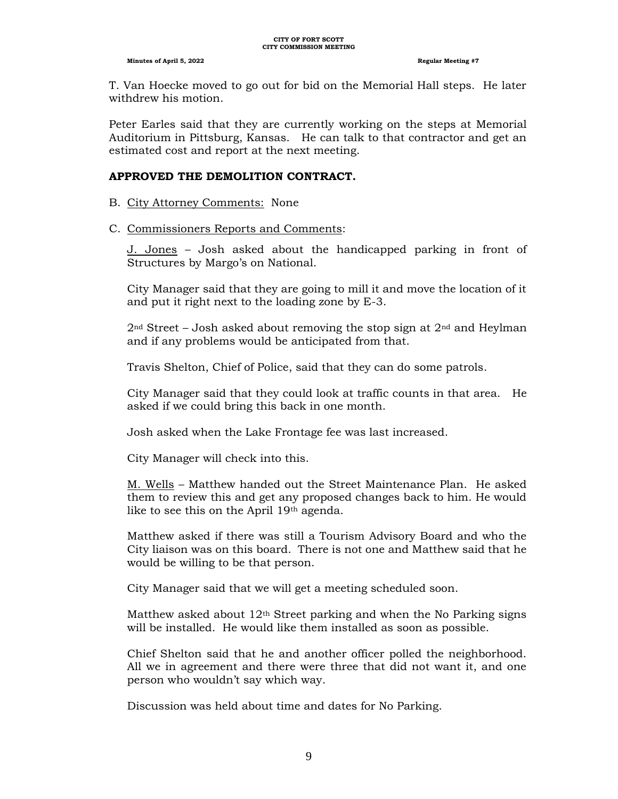T. Van Hoecke moved to go out for bid on the Memorial Hall steps. He later withdrew his motion.

Peter Earles said that they are currently working on the steps at Memorial Auditorium in Pittsburg, Kansas. He can talk to that contractor and get an estimated cost and report at the next meeting.

#### **APPROVED THE DEMOLITION CONTRACT.**

#### B. City Attorney Comments: None

#### C. Commissioners Reports and Comments:

J. Jones – Josh asked about the handicapped parking in front of Structures by Margo's on National.

City Manager said that they are going to mill it and move the location of it and put it right next to the loading zone by E-3.

 $2<sup>nd</sup> Street – Josh asked about removing the stop sign at  $2<sup>nd</sup>$  and Heylman$ and if any problems would be anticipated from that.

Travis Shelton, Chief of Police, said that they can do some patrols.

City Manager said that they could look at traffic counts in that area. He asked if we could bring this back in one month.

Josh asked when the Lake Frontage fee was last increased.

City Manager will check into this.

M. Wells – Matthew handed out the Street Maintenance Plan. He asked them to review this and get any proposed changes back to him. He would like to see this on the April 19th agenda.

Matthew asked if there was still a Tourism Advisory Board and who the City liaison was on this board. There is not one and Matthew said that he would be willing to be that person.

City Manager said that we will get a meeting scheduled soon.

Matthew asked about  $12<sup>th</sup>$  Street parking and when the No Parking signs will be installed. He would like them installed as soon as possible.

Chief Shelton said that he and another officer polled the neighborhood. All we in agreement and there were three that did not want it, and one person who wouldn't say which way.

Discussion was held about time and dates for No Parking.